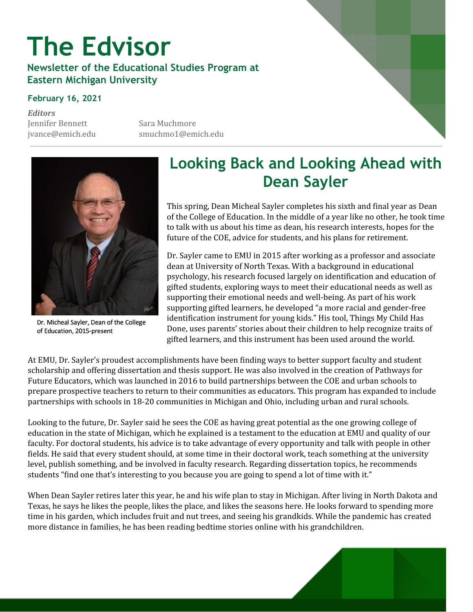# **The Edvisor**

**Newsletter of the Educational Studies Program at Eastern Michigan University**

#### **February 16, 2021**

*Editors* Jennifer Bennett Sara Muchmore

jvance@emich.edu smuchmo1@emich.edu



Dr. Micheal Sayler, Dean of the College of Education, 2015-present

#### **Looking Back and Looking Ahead with Dean Sayler**

This spring, Dean Micheal Sayler completes his sixth and final year as Dean of the College of Education. In the middle of a year like no other, he took time to talk with us about his time as dean, his research interests, hopes for the future of the COE, advice for students, and his plans for retirement.

Dr. Sayler came to EMU in 2015 after working as a professor and associate dean at University of North Texas. With a background in educational psychology, his research focused largely on identification and education of gifted students, exploring ways to meet their educational needs as well as supporting their emotional needs and well-being. As part of his work supporting gifted learners, he developed "a more racial and gender-free identification instrument for young kids." His tool, Things My Child Has Done, uses parents' stories about their children to help recognize traits of gifted learners, and this instrument has been used around the world.

At EMU, Dr. Sayler's proudest accomplishments have been finding ways to better support faculty and student scholarship and offering dissertation and thesis support. He was also involved in the creation of Pathways for Future Educators, which was launched in 2016 to build partnerships between the COE and urban schools to prepare prospective teachers to return to their communities as educators. This program has expanded to include partnerships with schools in 18-20 communities in Michigan and Ohio, including urban and rural schools.

Looking to the future, Dr. Sayler said he sees the COE as having great potential as the one growing college of education in the state of Michigan, which he explained is a testament to the education at EMU and quality of our faculty. For doctoral students, his advice is to take advantage of every opportunity and talk with people in other fields. He said that every student should, at some time in their doctoral work, teach something at the university level, publish something, and be involved in faculty research. Regarding dissertation topics, he recommends students "find one that's interesting to you because you are going to spend a lot of time with it."

When Dean Sayler retires later this year, he and his wife plan to stay in Michigan. After living in North Dakota and Texas, he says he likes the people, likes the place, and likes the seasons here. He looks forward to spending more time in his garden, which includes fruit and nut trees, and seeing his grandkids. While the pandemic has created more distance in families, he has been reading bedtime stories online with his grandchildren.

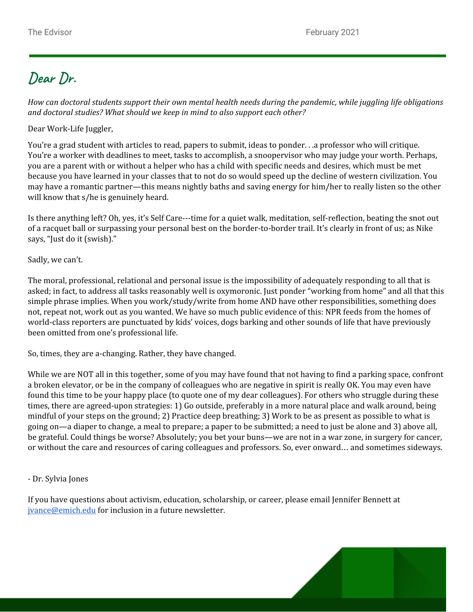## **Dear Dr.**

How can doctoral students support their own mental health needs during the pandemic, while juggling life obligations *and doctoral studies? What should we keep in mind to also support each other?*

Dear Work-Life Juggler,

You're a grad student with articles to read, papers to submit, ideas to ponder. . .a professor who will critique. You're a worker with deadlines to meet, tasks to accomplish, a snoopervisor who may judge your worth. Perhaps, you are a parent with or without a helper who has a child with specific needs and desires, which must be met because you have learned in your classes that to not do so would speed up the decline of western civilization. You may have a romantic partner—this means nightly baths and saving energy for him/her to really listen so the other will know that s/he is genuinely heard.

Is there anything left? Oh, yes, it's Self Care---time for a quiet walk, meditation, self-reflection, beating the snot out of a racquet ball or surpassing your personal best on the border-to-border trail. It's clearly in front of us; as Nike says, "Just do it (swish)."

Sadly, we can't.

The moral, professional, relational and personal issue is the impossibility of adequately responding to all that is asked; in fact, to address all tasks reasonably well is oxymoronic. Just ponder "working from home" and all that this simple phrase implies. When you work/study/write from home AND have other responsibilities, something does not, repeat not, work out as you wanted. We have so much public evidence of this: NPR feeds from the homes of world-class reporters are punctuated by kids' voices, dogs barking and other sounds of life that have previously been omitted from one's professional life.

So, times, they are a-changing. Rather, they have changed.

While we are NOT all in this together, some of you may have found that not having to find a parking space, confront a broken elevator, or be in the company of colleagues who are negative in spirit is really OK. You may even have found this time to be your happy place (to quote one of my dear colleagues). For others who struggle during these times, there are agreed-upon strategies: 1) Go outside, preferably in a more natural place and walk around, being mindful of your steps on the ground; 2) Practice deep breathing; 3) Work to be as present as possible to what is going on—a diaper to change, a meal to prepare; a paper to be submitted; a need to just be alone and 3) above all, be grateful. Could things be worse? Absolutely; you bet your buns—we are not in a war zone, in surgery for cancer, or without the care and resources of caring colleagues and professors. So, ever onward… and sometimes sideways.

#### - Dr. Sylvia Jones

If you have questions about activism, education, scholarship, or career, please email Jennifer Bennett at [jvance@emich.edu](mailto:jvance@emich.edu) for inclusion in a future newsletter.